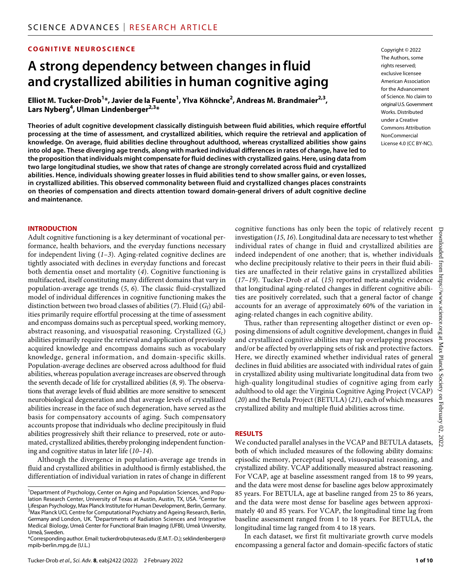#### **COGNITIVE NEUROSCIENCE**

## **A strong dependency between changes in fluid and crystallized abilities in human cognitive aging**

**Elliot M. Tucker-Drob1 \*, Javier de la Fuente1 , Ylva Köhncke2 , Andreas M. Brandmaier2,3 , Lars Nyberg4 , Ulman Lindenberger2,3 \***

**Theories of adult cognitive development classically distinguish between fluid abilities, which require effortful processing at the time of assessment, and crystallized abilities, which require the retrieval and application of knowledge. On average, fluid abilities decline throughout adulthood, whereas crystallized abilities show gains into old age. These diverging age trends, along with marked individual differences in rates of change, have led to the proposition that individuals might compensate for fluid declines with crystallized gains. Here, using data from two large longitudinal studies, we show that rates of change are strongly correlated across fluid and crystallized abilities. Hence, individuals showing greater losses in fluid abilities tend to show smaller gains, or even losses, in crystallized abilities. This observed commonality between fluid and crystallized changes places constraints on theories of compensation and directs attention toward domain-general drivers of adult cognitive decline and maintenance.**

#### **INTRODUCTION**

Adult cognitive functioning is a key determinant of vocational performance, health behaviors, and the everyday functions necessary for independent living (*1*–*3*). Aging-related cognitive declines are tightly associated with declines in everyday functions and forecast both dementia onset and mortality (*4*). Cognitive functioning is multifaceted, itself constituting many different domains that vary in population-average age trends (*5*, *6*). The classic fluid-crystallized model of individual differences in cognitive functioning makes the distinction between two broad classes of abilities (*7*). Fluid (*G*f) abilities primarily require effortful processing at the time of assessment and encompass domains such as perceptual speed, working memory, abstract reasoning, and visuospatial reasoning. Crystallized (*G*c) abilities primarily require the retrieval and application of previously acquired knowledge and encompass domains such as vocabulary knowledge, general information, and domain-specific skills. Population-average declines are observed across adulthood for fluid abilities, whereas population average increases are observed through the seventh decade of life for crystallized abilities (*8*, *9*). The observations that average levels of fluid abilities are more sensitive to senescent neurobiological degeneration and that average levels of crystallized abilities increase in the face of such degeneration, have served as the basis for compensatory accounts of aging. Such compensatory accounts propose that individuals who decline precipitously in fluid abilities progressively shift their reliance to preserved, rote or automated, crystallized abilities, thereby prolonging independent functioning and cognitive status in later life (*10*–*14*).

Although the divergence in population-average age trends in fluid and crystallized abilities in adulthood is firmly established, the differentiation of individual variation in rates of change in different Copyright © 2022 The Authors, some rights reserved: exclusive licensee American Association for the Advancement of Science. No claim to original U.S.Government Works. Distributed under a Creative Commons Attribution **NonCommercial** License 4.0 (CC BY-NC).

cognitive functions has only been the topic of relatively recent investigation (*15*, *16*). Longitudinal data are necessary to test whether individual rates of change in fluid and crystallized abilities are indeed independent of one another; that is, whether individuals who decline precipitously relative to their peers in their fluid abilities are unaffected in their relative gains in crystallized abilities (*17*–*19*). Tucker-Drob *et al.* (*15*) reported meta-analytic evidence that longitudinal aging-related changes in different cognitive abilities are positively correlated, such that a general factor of change accounts for an average of approximately 60% of the variation in aging-related changes in each cognitive ability.

Thus, rather than representing altogether distinct or even opposing dimensions of adult cognitive development, changes in fluid and crystallized cognitive abilities may tap overlapping processes and/or be affected by overlapping sets of risk and protective factors. Here, we directly examined whether individual rates of general declines in fluid abilities are associated with individual rates of gain in crystallized ability using multivariate longitudinal data from two high-quality longitudinal studies of cognitive aging from early adulthood to old age: the Virginia Cognitive Aging Project (VCAP) (*20*) and the Betula Project (BETULA) (*21*), each of which measures crystallized ability and multiple fluid abilities across time.

#### **RESULTS**

We conducted parallel analyses in the VCAP and BETULA datasets, both of which included measures of the following ability domains: episodic memory, perceptual speed, visuospatial reasoning, and crystallized ability. VCAP additionally measured abstract reasoning. For VCAP, age at baseline assessment ranged from 18 to 99 years, and the data were most dense for baseline ages below approximately 85 years. For BETULA, age at baseline ranged from 25 to 86 years, and the data were most dense for baseline ages between approximately 40 and 85 years. For VCAP, the longitudinal time lag from baseline assessment ranged from 1 to 18 years. For BETULA, the longitudinal time lag ranged from 4 to 18 years.

In each dataset, we first fit multivariate growth curve models encompassing a general factor and domain-specific factors of static

<sup>&</sup>lt;sup>1</sup>Department of Psychology, Center on Aging and Population Sciences, and Population Research Center, University of Texas at Austin, Austin, TX, USA. <sup>2</sup>Center for Lifespan Psychology, Max Planck Institute for Human Development, Berlin, Germany. <sup>3</sup> Max Planck UCL Centre for Computational Psychiatry and Ageing Research, Berlin, Germany and London, UK. <sup>4</sup>Departments of Radiation Sciences and Integrative Medical Biology, Umeå Center for Functional Brain Imaging (UFBI), Umeå University, Umeå, Sweden.

<sup>\*</sup>Corresponding author. Email: [tuckerdrob@utexas.edu](mailto:tuckerdrob@utexas.edu) (E.M.T.-D.); [seklindenberger@](mailto:seklindenberger@mpib-berlin.mpg.de) [mpib-berlin.mpg.de](mailto:seklindenberger@mpib-berlin.mpg.de) (U.L.)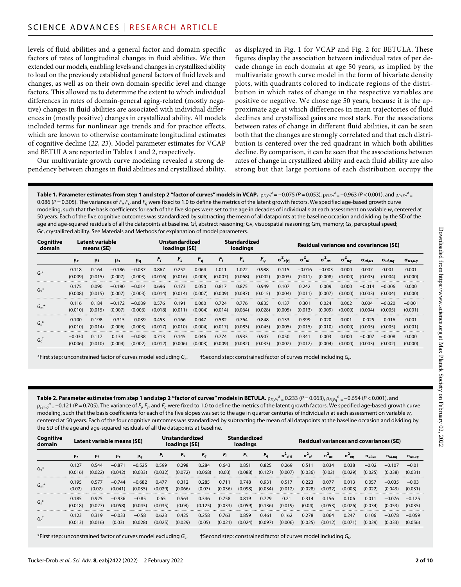levels of fluid abilities and a general factor and domain-specific factors of rates of longitudinal changes in fluid abilities. We then extended our models, enabling levels and changes in crystallized ability to load on the previously established general factors of fluid levels and changes, as well as on their own domain-specific level and change factors. This allowed us to determine the extent to which individual differences in rates of domain-general aging-related (mostly negative) changes in fluid abilities are associated with individual differences in (mostly positive) changes in crystallized ability. All models included terms for nonlinear age trends and for practice effects, which are known to otherwise contaminate longitudinal estimates of cognitive decline (*22*, *23*). Model parameter estimates for VCAP and BETULA are reported in Tables 1 and 2, respectively.

Our multivariate growth curve modeling revealed a strong dependency between changes in fluid abilities and crystallized ability, as displayed in Fig. 1 for VCAP and Fig. 2 for BETULA. These figures display the association between individual rates of per decade change in each domain at age 50 years, as implied by the multivariate growth curve model in the form of bivariate density plots, with quadrants colored to indicate regions of the distribution in which rates of change in the respective variables are positive or negative. We chose age 50 years, because it is the approximate age at which differences in mean trajectories of fluid declines and crystallized gains are most stark. For the associations between rates of change in different fluid abilities, it can be seen both that the changes are strongly correlated and that each distribution is centered over the red quadrant in which both abilities decline. By comparison, it can be seen that the associations between rates of change in crystallized ability and each fluid ability are also strong but that large portions of each distribution occupy the

Table 1. Parameter estimates from step 1 and step 2 "factor of curves" models in VCAP.  $\rho_{\it F_i\it F_S}{}^a$  = –0.075 (P = 0.053),  $\rho_{\it F_i\it F_I}{}^a$  = –0.963 (P < 0.001), and  $\rho_{\it F_S\it F_I}{}^a$  = 0.086 ( $P = 0.305$ ). The variances of  $F_i$ ,  $F_s$ , and  $F_q$  were fixed to 1.0 to define the metrics of the latent growth factors. We specified age-based growth curve modeling, such that the basis coefficients for each of the five slopes were set to the age in decades of individual *n* at each assessment on variable *w*, centered at 50 years. Each of the five cognitive outcomes was standardized by subtracting the mean of all datapoints at the baseline occasion and dividing by the SD of the age and age-squared residuals of all the datapoints at baseline. Gf, abstract reasoning; Gv, visuospatial reasoning; Gm, memory; Gs, perceptual speed; Gc, crystallized ability. See Materials and Methods for explanation of model parameters.

| Cognitive       | Latent variable |         |           | Unstandardized |         |         |         | <b>Standardized</b> |         |         | <b>Residual variances and covariances (SE)</b> |                    |                 |         |                  |                   |                   |  |
|-----------------|-----------------|---------|-----------|----------------|---------|---------|---------|---------------------|---------|---------|------------------------------------------------|--------------------|-----------------|---------|------------------|-------------------|-------------------|--|
| domain          | means (SE)      |         |           | loadings (SE)  |         |         |         | loadings            |         |         |                                                |                    |                 |         |                  |                   |                   |  |
|                 | $\mu_r$         | $\mu_i$ | $\mu_{s}$ | $\mu_q$        | $r_i$   | $F_{s}$ | $F_q$   | $F_i$               | $F_{s}$ | $F_q$   | $\sigma$<br>e[t]                               | $\sigma^2_{\mu i}$ | $\sigma^2_{us}$ | ua      | $\sigma_{ui,us}$ | $\sigma_{ui, uq}$ | $\sigma_{us, uq}$ |  |
| $G_{\rm f}$ *   | 0.118           | 0.164   | $-0.186$  | $-0.037$       | 0.867   | 0.252   | 0.064   | 1.011               | 1.022   | 0.988   | 0.115                                          | $-0.016$           | $-0.003$        | 0.000   | 0.007            | 0.001             | 0.001             |  |
|                 | (0.009)         | (0.015) | (0.007)   | (0.003)        | (0.016) | (0.016) | (0.006) | (0.007)             | (0.068) | (0.002) | (0.003)                                        | (0.011)            | (0.008)         | (0.000) | (0.003)          | (0.004)           | (0.000)           |  |
| $G_v^*$         | 0.175           | 0.090   | $-0.190$  | $-0.014$       | 0.696   | 0.173   | 0.050   | 0.817               | 0.875   | 0.949   | 0.107                                          | 0.242              | 0.009           | 0.000   | $-0.014$         | $-0.006$          | 0.000             |  |
|                 | (0.008)         | (0.015) | (0.007)   | (0.003)        | (0.014) | (0.014) | (0.007) | (0.009)             | (0.087) | (0.015) | (0.004)                                        | (0.011)            | (0.007)         | (0.000) | (0.003)          | (0.004)           | (0.000)           |  |
| $G_m$ *         | 0.116           | 0.184   | $-0.172$  | $-0.039$       | 0.576   | 0.191   | 0.060   | 0.724               | 0.776   | 0.835   | 0.137                                          | 0.301              | 0.024           | 0.002   | 0.004            | $-0.020$          | $-0.001$          |  |
|                 | (0.010)         | (0.015) | (0.007)   | (0.003)        | (0.018) | (0.011) | (0.004) | (0.014)             | (0.064) | (0.028) | (0.005)                                        | (0.013)            | (0.009)         | (0.000) | (0.004)          | (0.005)           | (0.001)           |  |
| $G_s^*$         | 0.100           | 0.198   | $-0.315$  | $-0.039$       | 0.453   | 0.166   | 0.047   | 0.582               | 0.764   | 0.848   | 0.133                                          | 0.399              | 0.020           | 0.001   | $-0.025$         | $-0.016$          | 0.001             |  |
|                 | (0.010)         | (0.014) | (0.006)   | (0.003)        | (0.017) | (0.010) | (0.004) | (0.017)             | (0.083) | (0.045) | (0.005)                                        | (0.015)            | (0.010)         | (0.000) | (0.005)          | (0.005)           | (0.001)           |  |
| $G_c^{\dagger}$ | $-0.030$        | 0.117   | 0.134     | $-0.038$       | 0.713   | 0.145   | 0.046   | 0.774               | 0.933   | 0.907   | 0.050                                          | 0.341              | 0.003           | 0.000   | $-0.007$         | $-0.008$          | 0.000             |  |
|                 | (0.006)         | (0.010) | (0.004)   | (0.002)        | (0.012) | (0.006) | (0.003) | (0.009)             | (0.082) | (0.033) | (0.002)                                        | (0.012)            | (0.004)         | (0.000) | (0.003)          | (0.002)           | (0.000)           |  |

\*First step: unconstrained factor of curves model excluding *G*c. †Second step: constrained factor of curves model including *G*c.

**Table 2. Parameter estimates from step 1 and step 2 "factor of curves" models in BETULA.** *Fi*,*Fsa* = 0.233 (*P* = 0.063), *Fi*,*Fqa* <sup>=</sup> −0.654 (*P* < 0.001), and *P<sub>Fs</sub>Fq</sub>* <sup>a</sup> = −0.121 (*P* = 0.705). The variance of *F<sub>i</sub>, F<sub>s</sub>,* and *F<sub>q</sub>* were fixed to 1.0 to define the metrics of the latent growth factors. We specified age-based growth curve modeling, such that the basis coefficients for each of the five slopes was set to the age in quarter centuries of individual *n* at each assessment on variable *w*, centered at 50 years. Each of the four cognitive outcomes was standardized by subtracting the mean of all datapoints at the baseline occasion and dividing by the SD of the age and age-squared residuals of all the datapoints at baseline.

| Cognitive<br>domain | Latent variable means (SE) |         |          |          | <b>Unstandardized</b><br>loadings (SE) |         |         | <b>Standardized</b><br>loadings |         |         | <b>Residual variances and covariances (SE)</b> |                 |                 |               |                  |                   |                  |
|---------------------|----------------------------|---------|----------|----------|----------------------------------------|---------|---------|---------------------------------|---------|---------|------------------------------------------------|-----------------|-----------------|---------------|------------------|-------------------|------------------|
|                     | $\mu_r$                    | $\mu_i$ | $\mu_s$  | $\mu_q$  | F <sub>i</sub>                         | $F_{s}$ | $F_q$   | $F_i$                           | $F_{s}$ | $F_q$   | $\sigma_{e[t]}^2$                              | $\sigma^2_{ui}$ | $\sigma^2_{us}$ | $\sigma_{uq}$ | $\sigma_{ui,us}$ | $\sigma_{ui, uq}$ | $\sigma_{us,uq}$ |
| $G_v^*$             | 0.127                      | 0.544   | $-0.871$ | $-0.525$ | 0.599                                  | 0.298   | 0.284   | 0.643                           | 0.851   | 0.825   | 0.269                                          | 0.511           | 0.034           | 0.038         | $-0.02$          | $-0.107$          | $-0.01$          |
|                     | (0.016)                    | (0.022) | (0.042)  | (0.033)  | (0.032)                                | (0.072) | (0.068) | (0.03)                          | (0.088) | (0.127) | (0.007)                                        | (0.036)         | (0.02)          | (0.029)       | (0.025)          | (0.038)           | (0.031)          |
| $G_m^*$             | 0.195                      | 0.577   | $-0.744$ | $-0.682$ | 0.477                                  | 0.312   | 0.285   | 0.711                           | 0.748   | 0.931   | 0.517                                          | 0.223           | 0.077           | 0.013         | 0.057            | $-0.035$          | $-0.03$          |
|                     | (0.02)                     | (0.02)  | (0.041)  | (0.035)  | (0.029)                                | (0.066) | (0.07)  | (0.036)                         | (0.098) | (0.034) | (0.012)                                        | (0.028)         | (0.032)         | (0.003)       | (0.022)          | (0.043)           | (0.031)          |
| $G_s^*$             | 0.185                      | 0.925   | $-0.936$ | $-0.85$  | 0.65                                   | 0.563   | 0.346   | 0.758                           | 0.819   | 0.729   | 0.21                                           | 0.314           | 0.156           | 0.106         | 0.011            | $-0.076$          | $-0.125$         |
|                     | (0.018)                    | (0.027) | (0.058)  | (0.043)  | (0.035)                                | (0.08)  | (0.125) | (0.033)                         | (0.059) | (0.136) | (0.019)                                        | (0.04)          | (0.053)         | (0.026)       | (0.034)          | (0.053)           | (0.035)          |
| $G_c$               | 0.123                      | 0.319   | $-0.033$ | $-0.58$  | 0.623                                  | 0.425   | 0.258   | 0.763                           | 0.859   | 0.461   | 0.162                                          | 0.278           | 0.064           | 0.247         | 0.106            | $-0.078$          | $-0.059$         |
|                     | (0.013)                    | (0.016) | (0.03)   | (0.028)  | (0.025)                                | (0.029) | (0.05)  | (0.021)                         | (0.024) | (0.097) | (0.006)                                        | (0.025)         | (0.012)         | (0.071)       | (0.029)          | (0.033)           | (0.056)          |

\*First step: unconstrained factor of curves model excluding *G*c. †Second step: constrained factor of curves model including *G*c.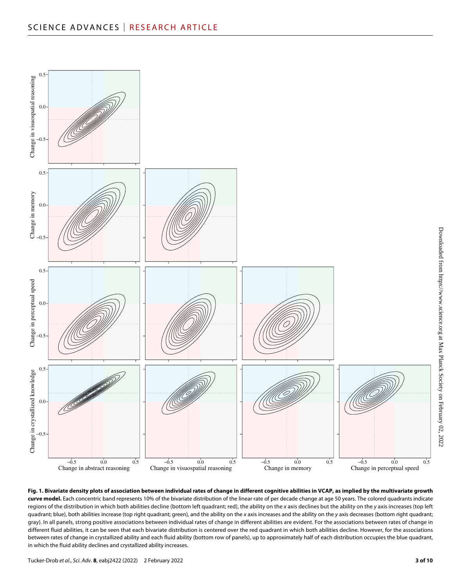

**Fig. 1. Bivariate density plots of association between individual rates of change in different cognitive abilities in VCAP, as implied by the multivariate growth curve model.** Each concentric band represents 10% of the bivariate distribution of the linear rate of per decade change at age 50 years. The colored quadrants indicate regions of the distribution in which both abilities decline (bottom left quadrant; red), the ability on the *x* axis declines but the ability on the *y* axis increases (top left quadrant; blue), both abilities increase (top right quadrant; green), and the ability on the *x* axis increases and the ability on the *y* axis decreases (bottom right quadrant; gray). In all panels, strong positive associations between individual rates of change in different abilities are evident. For the associations between rates of change in different fluid abilities, it can be seen that each bivariate distribution is centered over the red quadrant in which both abilities decline. However, for the associations between rates of change in crystallized ability and each fluid ability (bottom row of panels), up to approximately half of each distribution occupies the blue quadrant, in which the fluid ability declines and crystallized ability increases.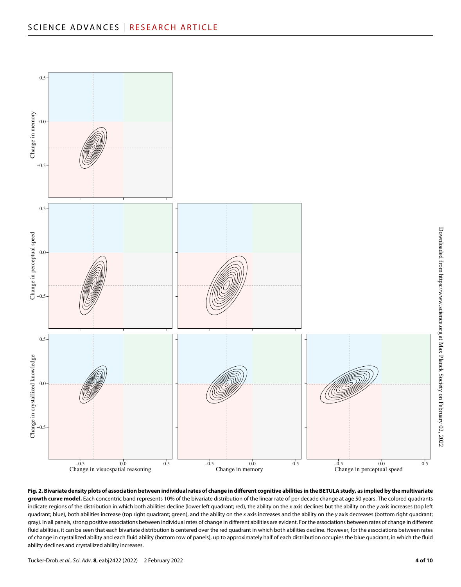

**Fig. 2. Bivariate density plots of association between individual rates of change in different cognitive abilities in the BETULA study, as implied by the multivariate growth curve model.** Each concentric band represents 10% of the bivariate distribution of the linear rate of per decade change at age 50 years. The colored quadrants indicate regions of the distribution in which both abilities decline (lower left quadrant; red), the ability on the *x* axis declines but the ability on the *y* axis increases (top left quadrant; blue), both abilities increase (top right quadrant; green), and the ability on the *x* axis increases and the ability on the *y* axis decreases (bottom right quadrant; gray). In all panels, strong positive associations between individual rates of change in different abilities are evident. For the associations between rates of change in different fluid abilities, it can be seen that each bivariate distribution is centered over the red quadrant in which both abilities decline. However, for the associations between rates of change in crystallized ability and each fluid ability (bottom row of panels), up to approximately half of each distribution occupies the blue quadrant, in which the fluid ability declines and crystallized ability increases.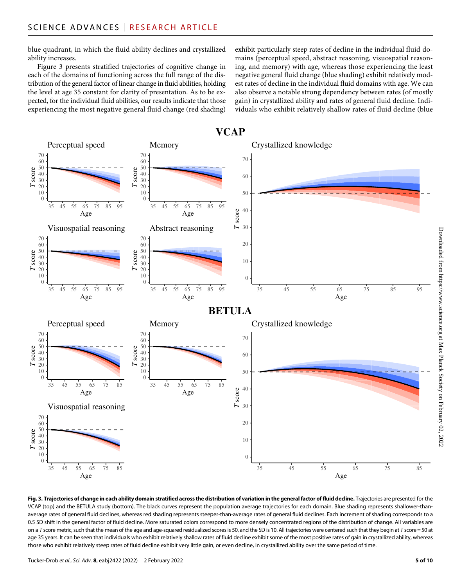blue quadrant, in which the fluid ability declines and crystallized ability increases.

Figure 3 presents stratified trajectories of cognitive change in each of the domains of functioning across the full range of the distribution of the general factor of linear change in fluid abilities, holding the level at age 35 constant for clarity of presentation. As to be expected, for the individual fluid abilities, our results indicate that those experiencing the most negative general fluid change (red shading) exhibit particularly steep rates of decline in the individual fluid domains (perceptual speed, abstract reasoning, visuospatial reasoning, and memory) with age, whereas those experiencing the least negative general fluid change (blue shading) exhibit relatively modest rates of decline in the individual fluid domains with age. We can also observe a notable strong dependency between rates (of mostly gain) in crystallized ability and rates of general fluid decline. Individuals who exhibit relatively shallow rates of fluid decline (blue



**Fig. 3. Trajectories of change in each ability domain stratified across the distribution of variation in the general factor of fluid decline.** Trajectories are presented for the VCAP (top) and the BETULA study (bottom). The black curves represent the population average trajectories for each domain. Blue shading represents shallower-thanaverage rates of general fluid declines, whereas red shading represents steeper-than-average rates of general fluid declines. Each increment of shading corresponds to a 0.5 SD shift in the general factor of fluid decline. More saturated colors correspond to more densely concentrated regions of the distribution of change. All variables are on a *T* score metric, such that the mean of the age and age-squared residualized scores is 50, and the SD is 10. All trajectories were centered such that they begin at *T* score=50 at age 35 years. It can be seen that individuals who exhibit relatively shallow rates of fluid decline exhibit some of the most positive rates of gain in crystallized ability, whereas those who exhibit relatively steep rates of fluid decline exhibit very little gain, or even decline, in crystallized ability over the same period of time.

Tucker-Drob *et al*., *Sci. Adv.* **8**, eabj2422 (2022) 2 February 2022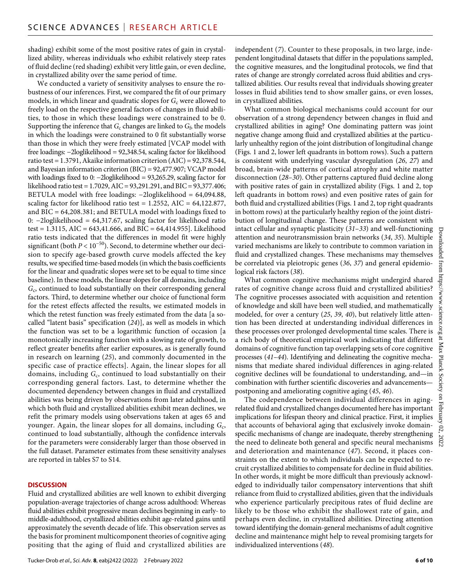shading) exhibit some of the most positive rates of gain in crystallized ability, whereas individuals who exhibit relatively steep rates of fluid decline (red shading) exhibit very little gain, or even decline, in crystallized ability over the same period of time.

We conducted a variety of sensitivity analyses to ensure the robustness of our inferences. First, we compared the fit of our primary models, in which linear and quadratic slopes for  $G_c$  were allowed to freely load on the respective general factors of changes in fluid abilities, to those in which these loadings were constrained to be 0. Supporting the inference that  $G_c$  changes are linked to  $G_f$ , the models in which the loadings were constrained to 0 fit substantially worse than those in which they were freely estimated [VCAP model with free loadings: −2loglikelihood = 92,348.54, scaling factor for likelihood ratio test = 1.3791, Akaike information criterion (AIC) = 92,378.544, and Bayesian information criterion (BIC) = 92,477.907; VCAP model with loadings fixed to 0: −2loglikelihood = 93,265.29, scaling factor for likelihood ratio test = 1.7029, AIC = 93,291.291, and BIC = 93,377.406; BETULA model with free loadings: −2loglikelihood = 64,094.88, scaling factor for likelihood ratio test =  $1.2552$ , AIC =  $64,122.877$ , and BIC = 64,208.381; and BETULA model with loadings fixed to 0: −2loglikelihood = 64,317.67, scaling factor for likelihood ratio test = 1.3115, AIC = 643,41.666, and BIC = 64,414.955]. Likelihood ratio tests indicated that the differences in model fit were highly significant (both  $P < 10^{-50}$ ). Second, to determine whether our decision to specify age-based growth curve models affected the key results, we specified time-based models (in which the basis coefficients for the linear and quadratic slopes were set to be equal to time since baseline). In these models, the linear slopes for all domains, including *G*c, continued to load substantially on their corresponding general factors. Third, to determine whether our choice of functional form for the retest effects affected the results, we estimated models in which the retest function was freely estimated from the data [a socalled "latent basis" specification (*24*)], as well as models in which the function was set to be a logarithmic function of occasion [a monotonically increasing function with a slowing rate of growth, to reflect greater benefits after earlier exposures, as is generally found in research on learning (*25*), and commonly documented in the specific case of practice effects]. Again, the linear slopes for all domains, including *G<sub>c</sub>*, continued to load substantially on their corresponding general factors. Last, to determine whether the documented dependency between changes in fluid and crystallized abilities was being driven by observations from later adulthood, in which both fluid and crystallized abilities exhibit mean declines, we refit the primary models using observations taken at ages 65 and younger. Again, the linear slopes for all domains, including *G*c, continued to load substantially, although the confidence intervals for the parameters were considerably larger than those observed in the full dataset. Parameter estimates from these sensitivity analyses are reported in tables S7 to S14.

#### **DISCUSSION**

Fluid and crystallized abilities are well known to exhibit diverging population-average trajectories of change across adulthood: Whereas fluid abilities exhibit progressive mean declines beginning in early- to middle-adulthood, crystallized abilities exhibit age-related gains until approximately the seventh decade of life. This observation serves as the basis for prominent multicomponent theories of cognitive aging positing that the aging of fluid and crystallized abilities are

independent (*7*). Counter to these proposals, in two large, independent longitudinal datasets that differ in the populations sampled, the cognitive measures, and the longitudinal protocols, we find that rates of change are strongly correlated across fluid abilities and crystallized abilities. Our results reveal that individuals showing greater losses in fluid abilities tend to show smaller gains, or even losses, in crystallized abilities.

What common biological mechanisms could account for our observation of a strong dependency between changes in fluid and crystallized abilities in aging? One dominating pattern was joint negative change among fluid and crystallized abilities at the particularly unhealthy region of the joint distribution of longitudinal change (Figs. 1 and 2, lower left quadrants in bottom rows). Such a pattern is consistent with underlying vascular dysregulation (*26*, *27*) and broad, brain-wide patterns of cortical atrophy and white matter disconnection (*28*–*30*). Other patterns captured fluid decline along with positive rates of gain in crystallized ability (Figs. 1 and 2, top left quadrants in bottom rows) and even positive rates of gain for both fluid and crystallized abilities (Figs. 1 and 2, top right quadrants in bottom rows) at the particularly healthy region of the joint distribution of longitudinal change. These patterns are consistent with intact cellular and synaptic plasticity (*31*–*33*) and well-functioning attention and neurotransmission brain networks (*34*, *35*). Multiple varied mechanisms are likely to contribute to common variation in fluid and crystallized changes. These mechanisms may themselves be correlated via pleiotropic genes (*36*, *37*) and general epidemiological risk factors (*38*).

What common cognitive mechanisms might undergird shared rates of cognitive change across fluid and crystallized abilities? The cognitive processes associated with acquisition and retention of knowledge and skill have been well studied, and mathematically modeled, for over a century (*25*, *39*, *40*), but relatively little attention has been directed at understanding individual differences in these processes over prolonged developmental time scales. There is a rich body of theoretical empirical work indicating that different domains of cognitive function tap overlapping sets of core cognitive processes (*41*–*44*). Identifying and delineating the cognitive mechanisms that mediate shared individual differences in aging-related cognitive declines will be foundational to understanding, and—in combination with further scientific discoveries and advancements postponing and ameliorating cognitive aging (*45*, *46*).

The codependence between individual differences in agingrelated fluid and crystallized changes documented here has important implications for lifespan theory and clinical practice. First, it implies that accounts of behavioral aging that exclusively invoke domainspecific mechanisms of change are inadequate, thereby strengthening the need to delineate both general and specific neural mechanisms and deterioration and maintenance (*47*). Second, it places constraints on the extent to which individuals can be expected to recruit crystallized abilities to compensate for decline in fluid abilities. In other words, it might be more difficult than previously acknowledged to individually tailor compensatory interventions that shift reliance from fluid to crystallized abilities, given that the individuals who experience particularly precipitous rates of fluid decline are likely to be those who exhibit the shallowest rate of gain, and perhaps even decline, in crystallized abilities. Directing attention toward identifying the domain-general mechanisms of adult cognitive decline and maintenance might help to reveal promising targets for individualized interventions (*48*).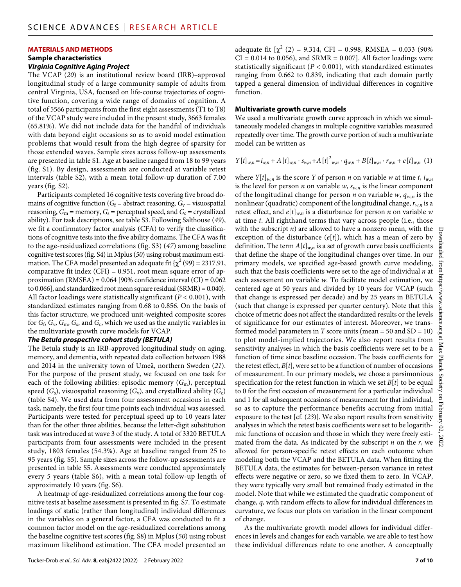#### **MATERIALS AND METHODS**

#### **Sample characteristics** *Virginia Cognitive Aging Project*

The VCAP (*20*) is an institutional review board (IRB)–approved longitudinal study of a large community sample of adults from central Virginia, USA, focused on life-course trajectories of cognitive function, covering a wide range of domains of cognition. A total of 5566 participants from the first eight assessments (T1 to T8) of the VCAP study were included in the present study, 3663 females (65.81%). We did not include data for the handful of individuals with data beyond eight occasions so as to avoid model estimation problems that would result from the high degree of sparsity for those extended waves. Sample sizes across follow-up assessments are presented in table S1. Age at baseline ranged from 18 to 99 years (fig. S1). By design, assessments are conducted at variable retest intervals (table S2), with a mean total follow-up duration of 7.00 years (fig. S2).

Participants completed 16 cognitive tests covering five broad domains of cognitive function ( $G_f$  = abstract reasoning,  $G_v$  = visuospatial reasoning,  $G_m$  = memory,  $G_s$  = perceptual speed, and  $G_c$  = crystallized ability). For task descriptions, see table S3. Following Salthouse (*49*), we fit a confirmatory factor analysis (CFA) to verify the classifications of cognitive tests into the five ability domains. The CFA was fit to the age-residualized correlations (fig. S3) (*47*) among baseline cognitive test scores (fig. S4) in Mplus (*50*) using robust maximum estimation. The CFA model presented an adequate fit  $\chi^2$  (99) = 2317.91, comparative fit index  $(CFI) = 0.951$ , root mean square error of approximation (RMSEA) = 0.064 [90% confidence interval (CI) = 0.062 to 0.066], and standardized root mean square residual (SRMR) = 0.040}. All factor loadings were statistically significant ( $P < 0.001$ ), with standardized estimates ranging from 0.68 to 0.856. On the basis of this factor structure, we produced unit-weighted composite scores for *G*f, *G*v, *G*m, *G*s, and *G*c, which we used as the analytic variables in the multivariate growth curve models for VCAP.

#### *The Betula prospective cohort study (BETULA)*

The Betula study is an IRB-approved longitudinal study on aging, memory, and dementia, with repeated data collection between 1988 and 2014 in the university town of Umeå, northern Sweden (*21*). For the purpose of the present study, we focused on one task for each of the following abilities: episodic memory (*G*m), perceptual speed  $(G_s)$ , visuospatial reasoning  $(G_v)$ , and crystallized ability  $(G_c)$ (table S4). We used data from four assessment occasions in each task, namely, the first four time points each individual was assessed. Participants were tested for perceptual speed up to 10 years later than for the other three abilities, because the letter-digit substitution task was introduced at wave 3 of the study. A total of 3320 BETULA participants from four assessments were included in the present study, 1803 females (54.3%). Age at baseline ranged from 25 to 95 years (fig. S5). Sample sizes across the follow-up assessments are presented in table S5. Assessments were conducted approximately every 5 years (table S6), with a mean total follow-up length of approximately 10 years (fig. S6).

A heatmap of age-residualized correlations among the four cognitive tests at baseline assessment is presented in fig. S7. To estimate loadings of static (rather than longitudinal) individual differences in the variables on a general factor, a CFA was conducted to fit a common factor model on the age-residualized correlations among the baseline cognitive test scores (fig. S8) in Mplus (*50*) using robust maximum likelihood estimation. The CFA model presented an adequate fit  $\left[\chi^2(2) = 9.314, \text{ CFI} = 0.998, \text{RMSEA} = 0.033 \text{ (90\%)}\right]$  $CI = 0.014$  to 0.056), and SRMR = 0.007]. All factor loadings were statistically significant ( $P < 0.001$ ), with standardized estimates ranging from 0.662 to 0.839, indicating that each domain partly tapped a general dimension of individual differences in cognitive function.

#### **Multivariate growth curve models**

We used a multivariate growth curve approach in which we simultaneously modeled changes in multiple cognitive variables measured repeatedly over time. The growth curve portion of such a multivariate model can be written as

$$
Y[t]_{w,n} = i_{w,n} + A[t]_{w,n} \cdot s_{w,n} + A[t]^2_{w,n} \cdot q_{w,n} + B[t]_{w,n} \cdot r_{w,n} + e[t]_{w,n} (1)
$$

where  $Y[t]_{w,n}$  is the score *Y* of person *n* on variable *w* at time *t*,  $i_{w,n}$ is the level for person  $n$  on variable  $w$ ,  $s_{w,n}$  is the linear component of the longitudinal change for person *n* on variable *w*, *qw*,*n* is the nonlinear (quadratic) component of the longitudinal change,  $r_{w,n}$  is a retest effect, and  $e[t]_{w,n}$  is a disturbance for person *n* on variable *w* at time *t*. All righthand terms that vary across people (i.e., those with the subscript *n*) are allowed to have a nonzero mean, with the exception of the disturbance  $(e[t])$ , which has a mean of zero by definition. The term  $A[t]_{w,n}$  is a set of growth curve basis coefficients that define the shape of the longitudinal changes over time. In our primary models, we specified age-based growth curve modeling, such that the basis coefficients were set to the age of individual *n* at each assessment on variable *w.* To facilitate model estimation, we centered age at 50 years and divided by 10 years for VCAP (such that change is expressed per decade) and by 25 years in BETULA (such that change is expressed per quarter century). Note that this choice of metric does not affect the standardized results or the levels of significance for our estimates of interest. Moreover, we transformed model parameters in  $T$  score units (mean = 50 and SD = 10) to plot model-implied trajectories. We also report results from sensitivity analyses in which the basis coefficients were set to be a function of time since baseline occasion. The basis coefficients for the retest effect, *B*[*t*], were set to be a function of number of occasions of measurement. In our primary models, we chose a parsimonious specification for the retest function in which we set *B*[*t*] to be equal to 0 for the first occasion of measurement for a particular individual and 1 for all subsequent occasions of measurement for that individual, so as to capture the performance benefits accruing from initial exposure to the test [cf. (*23*)]. We also report results from sensitivity analyses in which the retest basis coefficients were set to be logarithmic functions of occasion and those in which they were freely estimated from the data. As indicated by the subscript *n* on the *r*, we allowed for person-specific retest effects on each outcome when modeling both the VCAP and the BETULA data. When fitting the BETULA data, the estimates for between-person variance in retest effects were negative or zero, so we fixed them to zero. In VCAP, they were typically very small but remained freely estimated in the model. Note that while we estimated the quadratic component of change, *q*, with random effects to allow for individual differences in curvature, we focus our plots on variation in the linear component of change.

As the multivariate growth model allows for individual differences in levels and changes for each variable, we are able to test how these individual differences relate to one another. A conceptually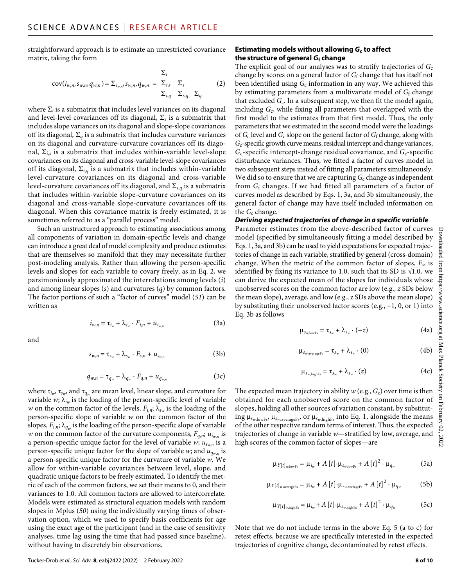straightforward approach is to estimate an unrestricted covariance matrix, taking the form

$$
\sum_{i} \sum_{w,n} \sum_{w,n} g_{w,n} q_{w,n} = \sum_{i_{w,n}} \sum_{w,n} q_{w,n} = \sum_{i,s} \sum_{S \subseteq S} \sum_{\substack{z \in S \setminus \sum_{i} \text{ and } z \neq w}} (2)
$$

where  $\Sigma_i$  is a submatrix that includes level variances on its diagonal and level-level covariances off its diagonal, Σ*s* is a submatrix that includes slope variances on its diagonal and slope-slope covariances off its diagonal,  $\Sigma_q$  is a submatrix that includes curvature variances on its diagonal and curvature-curvature covariances off its diagonal,  $\Sigma_{i,s}$  is a submatrix that includes within-variable level-slope covariances on its diagonal and cross-variable level-slope covariances off its diagonal, Σ*i*,*q* is a submatrix that includes within-variable level-curvature covariances on its diagonal and cross-variable level-curvature covariances off its diagonal, and Σ*s*,*q* is a submatrix that includes within-variable slope-curvature covariances on its diagonal and cross-variable slope-curvature covariances off its diagonal. When this covariance matrix is freely estimated, it is sometimes referred to as a "parallel process" model.

Such an unstructured approach to estimating associations among all components of variation in domain-specific levels and change can introduce a great deal of model complexity and produce estimates that are themselves so manifold that they may necessitate further post-modeling analysis. Rather than allowing the person-specific levels and slopes for each variable to covary freely, as in Eq. 2, we parsimoniously approximated the interrelations among levels (*i*) and among linear slopes (*s*) and curvatures (*q*) by common factors. The factor portions of such a "factor of curves" model (*51*) can be written as

 $i_{w,n} = \tau_{i_w} + \lambda_{i_w} \cdot F_{i,n} + u_{i_{w,n}}$  (3a)

and

$$
s_{w,n} = \tau_{s_w} + \lambda_{s_w} \cdot F_{s,n} + u_{s_{w,n}} \tag{3b}
$$

$$
q_{w,n} = \tau_{q_w} + \lambda_{q_w} \cdot F_{q,n} + u_{q_{w,n}} \tag{3c}
$$

where  $\tau_{i_w}$ ,  $\tau_{s_w}$ , and  $\tau_{q_w}$  are mean level, linear slope, and curvature for variable *w*;  $\lambda_{i_w}$  is the loading of the person-specific level of variable *w* on the common factor of the levels,  $F_{i,n}$ ;  $\lambda_{s_w}$  is the loading of the person-specific slope of variable *w* on the common factor of the slopes,  $F_{i,n}$ ;  $\lambda_{q_w}$  is the loading of the person-specific slope of variable *w* on the common factor of the curvature components,  $F_{q,n}$ ;  $u_{i_{w,n}}$  is a person-specific unique factor for the level of variable *w*;  $u_{s_{w,n}}$  is a person-specific unique factor for the slope of variable *w*; and  $u_{q_{w,n}}$  is a person-specific unique factor for the curvature of variable *w*. We allow for within-variable covariances between level, slope, and quadratic unique factors to be freely estimated. To identify the metric of each of the common factors, we set their means to 0, and their variances to 1.0. All common factors are allowed to intercorrelate. Models were estimated as structural equation models with random slopes in Mplus (*50*) using the individually varying times of observation option, which we used to specify basis coefficients for age using the exact age of the participant (and in the case of sensitivity analyses, time lag using the time that had passed since baseline), without having to discretely bin observations.

#### **Estimating models without allowing** *G***c to affect the structure of general** *G***f change**

The explicit goal of our analyses was to stratify trajectories of  $G_c$ change by scores on a general factor of *G*<sub>f</sub> change that has itself not been identified using  $G_c$  information in any way. We achieved this by estimating parameters from a multivariate model of *G*f change that excluded  $G_c$ . In a subsequent step, we then fit the model again, including G<sub>c</sub>, while fixing all parameters that overlapped with the first model to the estimates from that first model. Thus, the only parameters that we estimated in the second model were the loadings of *G*c level and *G*c slope on the general factor of *G*f change, along with *G*c-specific growth curve means, residual intercept and change variances, *G*c-specific intercept-change residual covariance, and *G*c-specific disturbance variances. Thus, we fitted a factor of curves model in two subsequent steps instead of fitting all parameters simultaneously. We did so to ensure that we are capturing  $G_c$  change as independent from *G*f changes. If we had fitted all parameters of a factor of curves model as described by Eqs. 1, 3a, and 3b simultaneously, the general factor of change may have itself included information on the  $G_c$  change.

#### *Deriving expected trajectories of change in a specific variable*

Parameter estimates from the above-described factor of curves model (specified by simultaneously fitting a model described by Eqs. 1, 3a, and 3b) can be used to yield expectations for expected trajectories of change in each variable, stratified by general (cross-domain) change. When the metric of the common factor of slopes,  $F_s$ , is identified by fixing its variance to 1.0, such that its SD is  $\sqrt{1.0}$ , we identified by fixing its variance to 1.0, such that its SD is  $\sqrt{1.0}$ , we can derive the expected mean of the slopes for individuals whose unobserved scores on the common factor are low (e.g., *z* SDs below the mean slope), average, and low (e.g., z SDs above the mean slope) by substituting their unobserved factor scores (e.g., −1, 0, or 1) into Eq. 3b as follows

$$
\mu_{s_{w,\text{lowFs}}} = \tau_{s_w} + \lambda_{s_w} \cdot (-z) \tag{4a}
$$

$$
\mu_{s_{w,\text{averageFs}}} = \tau_{s_w} + \lambda_{s_w} \cdot (0) \tag{4b}
$$

$$
\mu_{s_{w,\text{highFs}}} = \tau_{s_w} + \lambda_{s_w} \cdot (z) \tag{4c}
$$

The expected mean trajectory in ability  $w$  (e.g.,  $G_c$ ) over time is then obtained for each unobserved score on the common factor of slopes, holding all other sources of variation constant, by substituting  $\mu_{s_{w,\text{lowFs}}}$ ,  $\mu_{s_{w,\text{averageFs}}}$ , or  $\mu_{s_{w,\text{highFs}}}$  into Eq. 1, alongside the means of the other respective random terms of interest. Thus, the expected trajectories of change in variable *w*—stratified by low, average, and high scores of the common factor of slopes—are

$$
\mu_{Y[t]_{w, \text{lowFs}}} = \mu_{i_w} + A[t] \cdot \mu_{s_{w, \text{lowFs}}} + A[t]^2 \cdot \mu_{q_w}
$$
 (5a)

$$
\mu_{Y[t]_{w,\text{averageFs}}} = \mu_{i_w} + A[t] \cdot \mu_{s_{w,\text{averageFs}}} + A[t]^2 \cdot \mu_{q_w}
$$
 (5b)

$$
\mu_{Y[t]_{w,\text{highFs}}} = \mu_{i_w} + A[t] \cdot \mu_{s_{w,\text{highFs}}} + A[t]^2 \cdot \mu_{q_w}
$$
 (5c)

Note that we do not include terms in the above Eq. 5 (a to c) for retest effects, because we are specifically interested in the expected trajectories of cognitive change, decontaminated by retest effects.

Downloaded

mont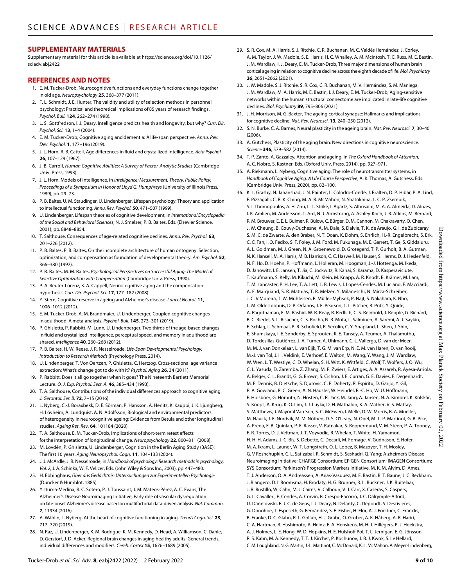#### **SUPPLEMENTARY MATERIALS**

Supplementary material for this article is available at [https://science.org/doi/10.1126/](https://science.org/doi/10.1126/sciadv.abj2422) [sciadv.abj2422](https://science.org/doi/10.1126/sciadv.abj2422)

#### **REFERENCES AND NOTES**

- 1. E. M. Tucker-Drob, Neurocognitive functions and everyday functions change together in old age. *Neuropsychology* **25**, 368–377 (2011).
- 2. F. L. Schmidt, J. E. Hunter, The validity and utility of selection methods in personnel psychology: Practical and theoretical implications of 85 years of research findings. *Psychol. Bull.* **124**, 262–274 (1998).
- 3. L. S. Gottfredson, I. J. Deary, Intelligence predicts health and longevity, but why? *Curr. Dir. Psychol. Sci.* **13**, 1–4 (2004).
- 4. E. M. Tucker-Drob, Cognitive aging and dementia: A life-span perspective. *Annu. Rev. Dev. Psychol.* **1**, 177–196 (2019).
- 5. J. L. Horn, R. B. Cattell, Age differences in fluid and crystallized intelligence. *Acta Psychol.* **26**, 107–129 (1967).
- 6. J. B. Carroll, *Human Cognitive Abilities: A Survey of Factor-Analytic Studies* (Cambridge Univ. Press, 1993).
- 7. J. L. Horn, Models of intelligence, in *Intelligence: Measurement, Theory, Public Policy: Proceedings of a Symposium in Honor of Lloyd G. Humphreys* (University of Illinois Press, 1989), pp. 29–73.
- 8. P. B. Baltes, U. M. Staudinger, U. Lindenberger, Lifespan psychology: Theory and application to intellectual functioning. *Annu. Rev. Psychol.* **50**, 471–507 (1999).
- 9. U. Lindenberger, Lifespan theories of cognitive development, in *International Encyclopedia of the Social and Behavioral Sciences*, N. J. Smelser, P. B. Baltes, Eds. (Elsevier Science, 2001), pp. 8848–8854.
- 10. T. Salthouse, Consequences of age-related cognitive declines. *Annu. Rev. Psychol.* **63**, 201–226 (2012).
- 11. P. B. Baltes, P. B. Baltes, On the incomplete architecture of human ontogeny. Selection, optimization, and compensation asfoundation of developmental theory. *Am. Psychol.* **52**, 366–380 (1997).
- 12. P. B. Baltes, M. M. Baltes, *Psychological Perspectives on Successful Aging: The Model of Selective Optimization with Compensation* (Cambridge Univ. Press, 1990).
- 13. P. A. Reuter-Lorenz, K. A. Cappell, Neurocognitive aging and the compensation hypothesis. *Curr. Dir. Psychol. Sci.* **17**, 177–182 (2008).
- 14. Y. Stern, Cognitive reserve in ageing and Alzheimer's disease. *Lancet Neurol.* **11**, 1006–1012 (2012).
- 15. E. M. Tucker-Drob, A. M. Brandmaier, U. Lindenberger, Coupled cognitive changes in adulthood: A meta-analysis. *Psychol. Bull.* **145**, 273–301 (2019).
- 16. P. Ghisletta, P. Rabbitt, M. Lunn, U. Lindenberger, Two thirds of the age-based changes in fluid and crystallized intelligence, perceptual speed, and memory in adulthood are shared. *Intelligence* **40**, 260–268 (2012).
- 17. P. B. Baltes, H. W. Reese, J. R. Nesselroade, *Life-Span Developmental Psychology: Introduction to Research Methods* (Psychology Press, 2014).
- 18. U. Lindenberger, T. Von Oertzen, P. Ghisletta, C. Hertzog, Cross-sectional age variance extraction: What's change got to do with it? *Psychol. Aging* **26**, 34 (2011).
- 19. P. Rabbitt, Does it all go together when it goes? The Nineteenth Bartlett Memorial Lecture. *Q. J. Exp. Psychol. Sect. A.* **46**, 385–434 (1993).
- 20. T. A. Salthouse, Contributions of the individual differences approach to cognitive aging. *J. Gerontol. Ser. B.* **72**, 7–15 (2016).
- 21. L. Nyberg, C.-J. Boraxbekk, D. E. Sörman, P. Hansson, A. Herlitz, K. Kauppi, J. K. Ljungberg, H. Lövheim, A. Lundquist, A. N. Adolfsson, Biological and environmental predictors of heterogeneity in neurocognitive ageing: Evidence from Betula and other longitudinal studies. *Ageing Res. Rev.* **64**, 101184 (2020).
- 22. T. A. Salthouse, E. M. Tucker-Drob, Implications of short-term retest effects for the interpretation of longitudinal change. *Neuropsychology* **22**, 800–811 (2008).
- 23. M. Lövdén, P. Ghisletta, U. Lindenberger, Cognition in the Berlin Aging Study (BASE): The first 10 years. *Aging Neuropsychol. Cogn.* **11**, 104–133 (2004).
- 24. J. J. McArdle, J. R. Nesselroade, in *Handbook of psychology: Research methods in psychology, Vol. 2*, J. A. Schinka, W. F. Velicer, Eds. (John Wiley & Sons Inc., 2003), pp. 447–480.
- 25. H. Ebbinghaus, *Über das Gedächtnis: Untersuchungen zur Experimentellen Psychologie* (Duncker & Humblot, 1885).
- 26. Y. Iturria-Medina, R. C. Sotero, P. J. Toussaint, J. M. Mateos-Pérez, A. C. Evans; The Alzheimer's Disease Neuroimaging Initiative, Early role of vascular dysregulation onlate-onset Alzheimer's disease based onmultifactorial data-driven analysis. *Nat. Commun.* **7**, 11934 (2016).
- 27. A. Wåhlin, L. Nyberg, At the heart of cognitive functioning in aging. *Trends Cogn. Sci.* **23**, 717–720 (2019).
- 28. N. Raz, U. Lindenberger, K. M. Rodrigue, K. M. Kennedy, D. Head, A. Williamson, C. Dahle, D. Gerstorf, J. D. Acker, Regional brain changes in aging healthy adults: General trends, individual differences and modifiers. *Cereb. Cortex* **15**, 1676–1689 (2005).
- 29. S. R. Cox, M. A. Harris, S. J. Ritchie, C. R. Buchanan, M. C. Valdés Hernández, J. Corley, A. M. Taylor, J. W. Madole, S. E. Harris, H. C. Whalley, A. M. McIntosh, T. C. Russ, M. E. Bastin, J. M. Wardlaw, I. J. Deary, E. M. Tucker-Drob, Three major dimensions of human brain cortical ageing inrelation tocognitive decline across theeighth decade oflife. *Mol. Psychiatry* **26**, 2651–2662 (2021).
- 30. J. W. Madole, S. J. Ritchie, S. R. Cox, C. R. Buchanan, M. V. Hernández, S. M. Maniega, J. M. Wardlaw, M. A. Harris, M. E. Bastin, I. J. Deary, E. M. Tucker-Drob, Aging-sensitive networks within the human structural connectome are implicated in late-life cognitive declines. *Biol. Psychiatry* **89**, 795–806 (2021).
- 31. J. H. Morrison, M. G. Baxter, The ageing cortical synapse: Hallmarks and implications for cognitive decline. *Nat. Rev. Neurosci.* **13**, 240–250 (2012).
- 32. S. N. Burke, C. A. Barnes, Neural plasticity in the ageing brain. *Nat. Rev. Neurosci.* **7**, 30–40 (2006).
- 33. A. Gutchess, Plasticity of the aging brain: New directions in cognitive neuroscience. *Science* **346**, 579–582 (2014).
- 34. T. P. Zanto, A. Gazzaley, Attention and ageing, in *The Oxford Handbook of Attention*, A. C. Nobre, S. Kastner, Eds. (Oxford Univ. Press, 2014), pp. 927–971.
- 35. A. Riekmann, L. Nyberg, Cognitive aging: The role of neurotransmitter systems, in *Handbook of Cognitive Aging: A Life Course Perspective*, A. K. Thomas, A. Gutchess, Eds. (Cambridge Univ. Press, 2020), pp. 82–100.
- 36. K. L. Grasby, N. Jahanshad, J. N. Painter, L. Colodro-Conde, J. Bralten, D. P. Hibar, P. A. Lind, F. Pizzagalli, C. R. K. Ching, M. A. B. McMahon, N. Shatokhina, L. C. P. Zsembik, S. I. Thomopoulos, A. H. Zhu, L. T. Strike, I. Agartz, S. Alhusaini, M. A. A. Almeida, D. Alnæs, I. K. Amlien, M. Andersson, T. Ard, N. J. Armstrong, A. Ashley-Koch, J. R. Atkins, M. Bernard, R. M. Brouwer, E. E. L. Buimer, R. Bülow, C. Bürger, D. M. Cannon, M. Chakravarty, Q. Chen, J. W. Cheung, B. Couvy-Duchesne, A. M. Dale, S. Dalvie, T. K. de Araujo, G. I. de Zubicaray, S. M. C. de Zwarte, A. den Braber, N. T. Doan, K. Dohm, S. Ehrlich, H.-R. Engelbrecht, S. Erk, C. C. Fan, I. O. Fedko, S. F. Foley, J. M. Ford, M. Fukunaga, M. E. Garrett, T. Ge, S. Giddaluru, A. L. Goldman, M. J. Green, N. A. Groenewold, D. Grotegerd, T. P. Gurholt, B. A. Gutman, N. K. Hansell, M. A. Harris, M. B. Harrison, C. C. Haswell, M. Hauser, S. Herms, D. J. Heslenfeld, N. F. Ho, D. Hoehn, P. Hoffmann, L. Holleran, M. Hoogman, J.-J. Hottenga, M. Ikeda, D. Janowitz, I. E. Jansen, T. Jia, C. Jockwitz, R. Kanai, S. Karama, D. Kasperaviciute, T. Kaufmann, S. Kelly, M. Kikuchi, M. Klein, M. Knapp, A. R. Knodt, B. Krämer, M. Lam, T. M. Lancaster, P. H. Lee, T. A. Lett, L. B. Lewis, I. Lopes-Cendes, M. Luciano, F. Macciardi, A. F. Marquand, S. R. Mathias, T. R. Melzer, Y. Milaneschi, N. Mirza-Schreiber, J. C. V Moreira, T. W. Mühleisen, B. Müller-Myhsok, P. Najt, S. Nakahara, K. Nho, L. M. Olde Loohuis, D. P. Orfanos, J. F. Pearson, T. L. Pitcher, B. Pütz, Y. Quidé, A. Ragothaman, F. M. Rashid, W. R. Reay, R. Redlich, C. S. Reinbold, J. Repple, G. Richard, B. C. Riedel, S. L. Risacher, C. S. Rocha, N. R. Mota, L. Salminen, A. Saremi, A. J. Saykin, F. Schlag, L. Schmaal, P. R. Schofield, R. Secolin, C. Y. Shapland, L. Shen, J. Shin, E. Shumskaya, I. E. Sønderby, E. Sprooten, K. E. Tansey, A. Teumer, A. Thalamuthu, D. Tordesillas-Gutiérrez, J. A. Turner, A. Uhlmann, C. L. Vallerga, D. van der Meer, M. M. J. van Donkelaar, L. van Eijk, T. G. M. van Erp, N. E. M. van Haren, D. van Rooij, M.-J. van Tol, J. H. Veldink, E. Verhoef, E. Walton, M. Wang, Y. Wang, J. M. Wardlaw, W. Wen, L. T. Westlye, C. D. Whelan, S. H. Witt, K. Wittfeld, C. Wolf, T. Wolfers, J. Q. Wu, C. L. Yasuda, D. Zaremba, Z. Zhang, M. P. Zwiers, E. Artiges, A. A. Assareh, R. Ayesa-Arriola, A. Belger, C. L. Brandt, G. G. Brown, S. Cichon, J. E. Curran, G. E. Davies, F. Degenhardt, M. F. Dennis, B. Dietsche, S. Djurovic, C. P. Doherty, R. Espiritu, D. Garijo, Y. Gil, P. A. Gowland, R. C. Green, A. N. Häusler, W. Heindel, B.-C. Ho, W. U. Hoffmann, F. Holsboer, G. Homuth, N. Hosten, C. R. Jack, M. Jang, A. Jansen, N. A. Kimbrel, K. Kolskår, S. Koops, A. Krug, K. O. Lim, J. J. Luykx, D. H. Mathalon, K. A. Mather, V. S. Mattay, S. Matthews, J. Mayoral Van Son, S. C. McEwen, I. Melle, D. W. Morris, B. A. Mueller, M. Nauck, J. E. Nordvik, M. M. Nöthen, D. S. O'Leary, N. Opel, M.-L. P. Martinot, G. B. Pike, A. Preda, E. B. Quinlan, P. E. Rasser, V. Ratnakar, S. Reppermund, V. M. Steen, P. A. Tooney, F. R. Torres, D. J. Veltman, J. T. Voyvodic, R. Whelan, T. White, H. Yamamori, H. H. H. Adams, J. C. Bis, S. Debette, C. Decarli, M. Fornage, V. Gudnason, E. Hofer, M. A. Ikram, L. Launer, W. T. Longstreth, O. L. Lopez, B. Mazoyer, T. H. Mosley, G. V Roshchupkin, C. L. Satizabal, R. Schmidt, S. Seshadri, Q. Yang; Alzheimer's Disease Neuroimaging Initiative; CHARGE Consortium; EPIGEN Consortium; IMAGEN Consortium; SYS Consortium; Parkinson's Progression Markers Initiative, M. K. M. Alvim, D. Ames, T. J. Anderson, O. A. Andreassen, A. Arias-Vasquez, M. E. Bastin, B. T. Baune, J. C. Beckham, J. Blangero, D. I. Boomsma, H. Brodaty, H. G. Brunner, R. L. Buckner, J. K. Buitelaar, J. R. Bustillo, W. Cahn, M. J. Cairns, V. Calhoun, V. J. Carr, X. Caseras, S. Caspers, G. L. Cavalleri, F. Cendes, A. Corvin, B. Crespo-Facorro, J. C. Dalrymple-Alford, U. Dannlowski, E. J. C. de Geus, I. J. Deary, N. Delanty, C. Depondt, S. Desrivières, G. Donohoe, T. Espeseth, G. Fernández, S. E. Fisher, H. Flor, A. J. Forstner, C. Francks, B. Franke, D. C. Glahn, R. L. Gollub, H. J. Grabe, O. Gruber, A. K. Håberg, A. R. Hariri, C. A. Hartman, R. Hashimoto, A. Heinz, F. A. Henskens, M. H. J. Hillegers, P. J. Hoekstra, A. J. Holmes, L. E. Hong, W. D. Hopkins, H. E. Hulshoff Pol, T. L. Jernigan, E. G. Jönsson, R. S. Kahn, M. A. Kennedy, T. T. J. Kircher, P. Kochunov, J. B. J. Kwok, S. Le Hellard, C. M. Loughland, N.G. Martin, J.-L. Martinot, C. McDonald, K. L. McMahon, A. Meyer-Lindenberg,

 $2022$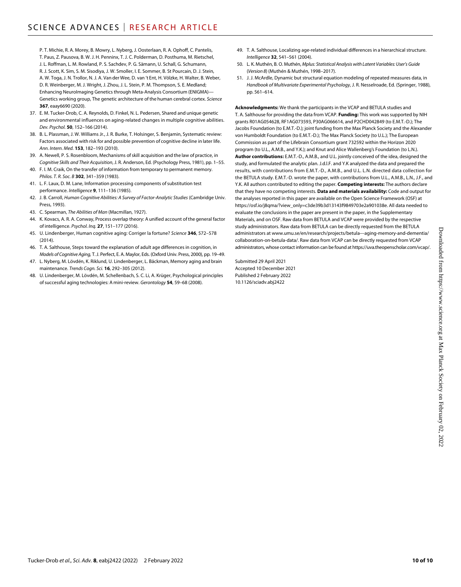P. T. Michie, R. A. Morey, B. Mowry, L. Nyberg, J. Oosterlaan, R. A. Ophoff, C. Pantelis, T. Paus, Z. Pausova, B. W. J. H. Penninx, T. J. C. Polderman, D. Posthuma, M. Rietschel, J. L. Roffman, L. M. Rowland, P. S. Sachdev, P. G. Sämann, U. Schall, G. Schumann, R. J. Scott, K. Sim, S. M. Sisodiya, J. W. Smoller, I. E. Sommer, B. St Pourcain, D. J. Stein, A. W. Toga, J. N. Trollor, N. J. A. Van der Wee, D. van 't Ent, H. Völzke, H. Walter, B. Weber, D. R. Weinberger, M. J. Wright, J. Zhou, J. L. Stein, P. M. Thompson, S. E. Medland; Enhancing NeuroImaging Genetics through Meta-Analysis Consortium (ENIGMA)— Genetics working group, The genetic architecture of the human cerebral cortex. *Science* **367**, eaay6690 (2020).

- 37. E. M. Tucker-Drob, C. A. Reynolds, D. Finkel, N. L. Pedersen, Shared and unique genetic and environmental influences on aging-related changes in multiple cognitive abilities. *Dev. Psychol.* **50**, 152–166 (2014).
- 38. B. L. Plassman, J. W. Williams Jr., J. R. Burke, T. Holsinger, S. Benjamin, Systematic review: Factors associated with risk for and possible prevention of cognitive decline in later life. *Ann. Intern. Med.* **153**, 182–193 (2010).
- 39. A. Newell, P. S. Rosenbloom, Mechanisms ofskill acquisition and the law of practice, in *Cognitive Skills and Their Acquisition*, J. R. Anderson, Ed. (Psychology Press, 1981), pp. 1–55.
- 40. F. I. M. Craik, On the transfer of information from temporary to permanent memory. *Philos. T. R. Soc. B* **302**, 341–359 (1983).
- 41. L. F. Laux, D. M. Lane, Information processing components of substitution test performance. *Intelligence* **9**, 111–136 (1985).
- 42. J. B. Carroll, *Human Cognitive Abilities: A Survey of Factor-Analytic Studies* (Cambridge Univ. Press, 1993).
- 43. C. Spearman, *The Abilities of Man* (Macmillan, 1927).
- 44. K. Kovacs, A. R. A. Conway, Process overlap theory: A unified account of the general factor of intelligence. *Psychol. Inq.* **27**, 151–177 (2016).
- 45. U. Lindenberger, Human cognitive aging: Corriger la fortune? *Science* **346**, 572–578 (2014).
- 46. T. A. Salthouse, Steps toward the explanation of adult age differences in cognition, in *Models of Cognitive Aging,* T.J. Perfect, E. A. Maylor, Eds. (Oxford Univ. Press, 2000), pp. 19–49.
- 47. L. Nyberg, M. Lövdén, K. Riklund, U. Lindenberger, L. Bäckman, Memory aging and brain maintenance. *Trends Cogn. Sci.* **16**, 292–305 (2012).
- 48. U. Lindenberger, M. Lövdén, M. Schellenbach, S. C. Li, A. Krüger, Psychological principles ofsuccessful aging technologies: A mini-review. *Gerontology* **54**, 59–68 (2008).
- 49. T. A. Salthouse, Localizing age-related individual differences in a hierarchical structure. *Intelligence* **32**, 541–561 (2004).
- 50. L. K. Muthén, B. O. Muthén, *Mplus: Statistical Analysis with Latent Variables: User's Guide* (*Version 8*) (Muthén & Muthén, 1998–2017).
- 51. J. J. McArdle, Dynamic but structural equation modeling of repeated measures data, in *Handbook of Multivariate Experimental Psychology*, J. R. Nesselroade, Ed. (Springer, 1988), pp. 561–614.

**Acknowledgments:** We thank the participants in the VCAP and BETULA studies and T. A. Salthouse for providing the data from VCAP. **Funding:** This work was supported by NIH grants R01AG054628, RF1AG073593, P30AG066614, and P2CHD042849 (to E.M.T.-D.); The Jacobs Foundation (to E.M.T.-D.); joint funding from the Max Planck Society and the Alexander von Humboldt Foundation (to E.M.T.-D.); The Max Planck Society (to U.L.); The European Commission as part of the Lifebrain Consortium grant 732592 within the Horizon 2020 program (to U.L., A.M.B., and Y.K.); and Knut and Alice Wallenberg's Foundation (to L.N.). **Author contributions:** E.M.T.-D., A.M.B., and U.L. jointly conceived of the idea, designed the study, and formulated the analytic plan. J.d.l.F. and Y.K analyzed the data and prepared the results, with contributions from E.M.T.-D., A.M.B., and U.L. L.N. directed data collection for the BETULA study. E.M.T.-D. wrote the paper, with contributions from U.L., A.M.B., L.N., J.F., and Y.K. All authors contributed to editing the paper. **Competing interests:** The authors declare that they have no competing interests. **Data and materials availability:** Code and output for the analyses reported in this paper are available on the Open Science Framework (OSF) at [https://osf.io/j8qma/?view\\_only=c3de39b3d13143f9849703e2a901038e.](https://osf.io/j8qma/?view_only=c3de39b3d13143f9849703e2a901038e) All data needed to evaluate the conclusions in the paper are present in the paper, in the Supplementary Materials, and on OSF. Raw data from BETULA and VCAP were provided by the respective study administrators. Raw data from BETULA can be directly requested from the BETULA administrators at [www.umu.se/en/research/projects/betula---aging-memory-and-dementia/](http://www.umu.se/en/research/projects/betula---aging-memory-and-dementia/collaboration-on-betula-data/) [collaboration-on-betula-data/.](http://www.umu.se/en/research/projects/betula---aging-memory-and-dementia/collaboration-on-betula-data/) Raw data from VCAP can be directly requested from VCAP administrators, whose contact information can be found at [https://uva.theopenscholar.com/vcap/.](https://uva.theopenscholar.com/vcap/)

Submitted 29 April 2021 Accepted 10 December 2021 Published 2 February 2022 10.1126/sciadv.abj2422